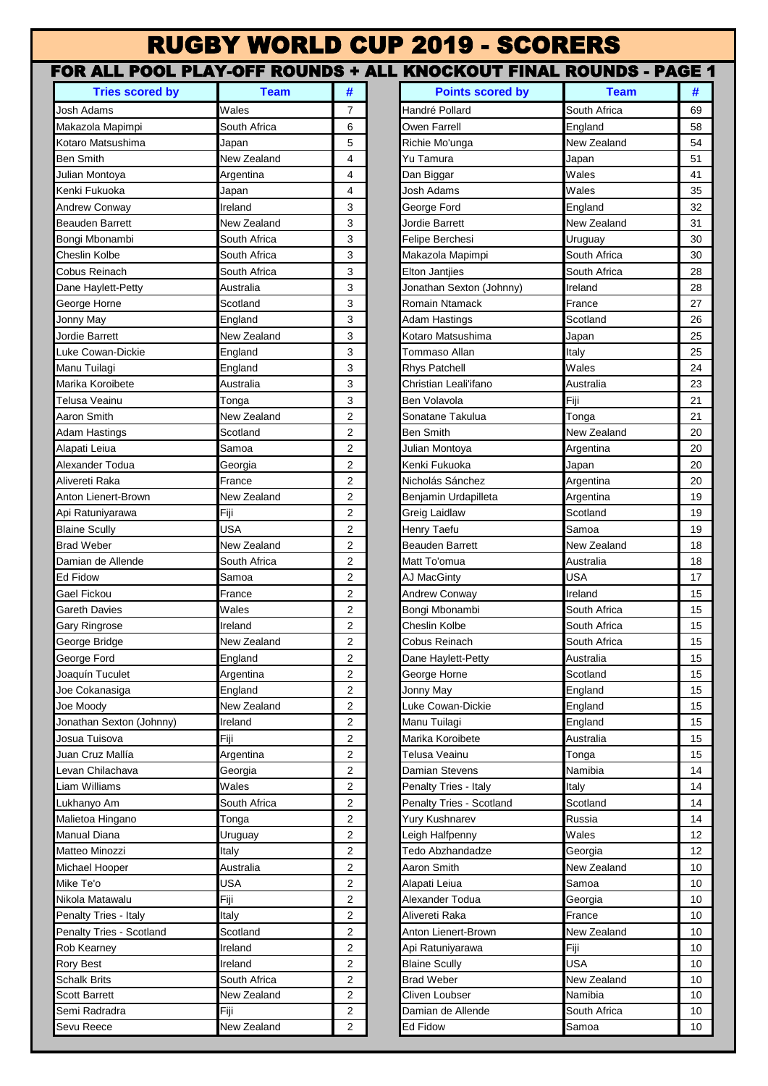## RUGBY WORLD CUP 2019 - SCORERS

## **Tries scored by Team # Points scored by Team #** Josh Adams Wales 7 Handré Pollard South Africa 69 Makazola Mapimpi South Africa 6 Owen Farrell England 58 Kotaro Matsushima Japan 5 Richie Mo'unga New Zealand 54 Ben Smith New Zealand 4 Yu Tamura Japan 51 Julian Montoya Argentina 4 Dan Biggar Wales 41 Kenki Fukuoka **Martia dan karena yang kenada dan kenada dan kenada dan kenada dan kenada dan kenada dan kenada d** Andrew Conway **Ireland Ireland** 3 George Ford **England** 32 Beauden Barrett New Zealand 3 Jordie Barrett New Zealand 31 Bongi Mbonambi **South Africa 3 Felipe Berchesi** Uruguay 30 Cheslin Kolbe **South Africa** 1 3 Makazola Mapimpi South Africa 30 Cobus Reinach South Africa 3 Elton Jantjies South Africa 28 Dane Haylett-Petty Australia 3 Jonathan Sexton (Johnny) Ireland 28 George Horne **Scotland** Scotland **3 Romain Ntamack France** 27 Jonny May **Scotland England 1999 Adam Hastings Scotland 126** Jordie Barrett New Zealand 3 Kotaro Matsushima Japan 25 Luke Cowan-Dickie England 3 Tommaso Allan Italy 25 Manu Tuilagi England 3 Rhys Patchell Wales 24 Marika Koroibete **Australia** Australia and Australia 23 Christian Leali<sup>tif</sup>ano **Australia** 23 Telusa Veainu Tonga 3 Ben Volavola Fiji 21 Aaron Smith New Zealand 2 Sonatane Takulua Tonga 21 Adam Hastings Scotland 2 Ben Smith New Zealand 20 Alapati Leiua Samoa 2 Julian Montoya Argentina 20 Alexander Todua Georgia 2 Kenki Fukuoka Japan 20 Alivereti Raka **France France 2 Nicholás Sánchez** Argentina 20 Anton Lienert-Brown New Zealand 2 Benjamin Urdapilleta Argentina 19 Api Ratuniyarawa Fiji 2 Greig Laidlaw Scotland 19 Blaine Scully **Contract Contract Contract Contract Contract Contract Contract Contract Contract Contract Contract Contract Contract Contract Contract Contract Contract Contract Contract Contract Contract Contract Contract** Brad Weber New Zealand 2 Beauden Barrett New Zealand 18 Damian de Allende **South Africa 2** Matt To'omua **Australia** Australia 18 Ed Fidow **Samoa** 2 AJ MacGinty USA 17 Gael Fickou **France 2 Andrew Conway Ireland** 15 Gareth Davies **2 Bongi Mbonambi** South Africa 15 Gary Ringrose **Indiand Inclusion Cheslin Kolbe Cheslin Kolbe** South Africa 15 George Bridge **New Zealand** 2 Cobus Reinach South Africa 15 George Ford **England** 2 Dane Haylett-Petty **Australia** 15 Joaquín Tuculet **Argentina** And **Argentina 15** George Horne Scotland Scotland 15 Joe Cokanasiga England 2 Jonny May England 15 Joe Moody New Zealand 2 Luke Cowan-Dickie England 15 Jonathan Sexton (Johnny) Ireland 2 Manu Tuilagi England 15 Josua Tuisova Fiji 2 Marika Koroibete Australia 15 Juan Cruz Mallía Argentina 2 Telusa Veainu Tonga 15 Levan Chilachava Georgia 2 Damian Stevens Namibia 14 Liam Williams **2 Realty Tries - Italy Italy Italy Italy** Italy Italy Italy Italy Italy Italy Italy Italy Italy Italy Lukhanyo Am South Africa 2 Penalty Tries - Scotland Scotland 14 Malietoa Hingano **2 Tonga** 14 Yury Kushnarev Russia Russia 14 Manual Diana **2 Leigh Halfpenny** Wales 12 Matteo Minozzi **Italy Italy 12 Tedo Abzhandadze** Georgia 12 Michael Hooper **Australia** Australia 2 Aaron Smith New Zealand 10 Mike Te'o USA Alapati Leiua Samoa 10 Nikola Matawalu Fiji 2 Alexander Todua Georgia 10 Penalty Tries - Italy Italy **Italy Italy Italy Italy Italy Italy Italy** 2 Alivereti Raka **France** France 10 Penalty Tries - Scotland Scotland **Scotland 2 Anton Lienert-Brown** New Zealand 10 Rob Kearney Ireland 2 Api Ratuniyarawa Fiji 10 Rory Best **Indian Accord Ireland** 2 Blaine Scully **COVID-SCULL ACCORD 2 Blaine Scully COVID-SCULL ACCORD 2 BL** Schalk Brits **South Africa** 2 Brad Weber New Zealand 10 Scott Barrett **New Zealand** 2 Cliven Loubser Namibia 10 Semi Radradra Fiji 2 Damian de Allende South Africa 10 FOR ALL POOL PLAY-OFF ROUNDS + ALL KNOCKOUT FINAL ROUNDS - PAGE 1

Sevu Reece New Zealand 2 Ed Fidow Samoa 10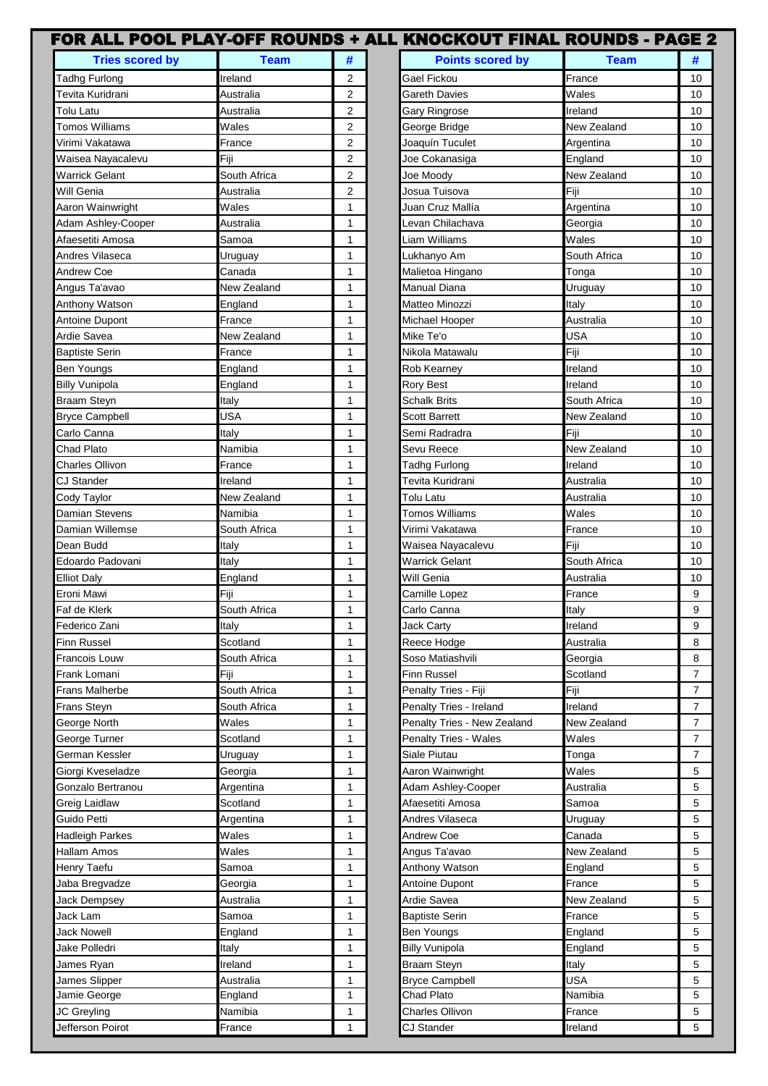|                                    |                       |                | FOR ALL POOL PLAY-OFF ROUNDS + ALL KNOCKOUT FINAL ROUNDS - PAGE 2 |              |                |
|------------------------------------|-----------------------|----------------|-------------------------------------------------------------------|--------------|----------------|
| <b>Tries scored by</b>             | <b>Team</b>           | #              | <b>Points scored by</b>                                           | <b>Team</b>  |                |
| <b>Tadhg Furlong</b>               | Ireland               | 2              | Gael Fickou                                                       | France       | 10             |
| Tevita Kuridrani                   | Australia             | $\overline{2}$ | Gareth Davies                                                     | Wales        | 10             |
| Tolu Latu                          | Australia             | $\overline{2}$ | Gary Ringrose                                                     | Ireland      | 10             |
| <b>Tomos Williams</b>              | Wales                 | 2              | George Bridge                                                     | New Zealand  | 10             |
| √irimi Vakatawa                    | France                | 2              | Joaquín Tuculet                                                   | Argentina    | 10             |
| Waisea Nayacalevu                  | Fiji                  | 2              | Joe Cokanasiga                                                    | England      | 10             |
| <b>Warrick Gelant</b>              | South Africa          | 2              | Joe Moody                                                         | New Zealand  | 10             |
| Will Genia                         | Australia             | $\overline{2}$ | Josua Tuisova                                                     | Fiji         | 10             |
| Aaron Wainwright                   | Wales                 | 1              | Juan Cruz Mallía                                                  | Argentina    | 10             |
| Adam Ashley-Cooper                 | Australia             | $\mathbf{1}$   | Levan Chilachava                                                  | Georgia      | 10             |
| Afaesetiti Amosa                   | Samoa                 | $\mathbf{1}$   | Liam Williams                                                     | Wales        | 10             |
| Andres Vilaseca                    | Uruguay               | $\mathbf{1}$   | Lukhanyo Am                                                       | South Africa | 10             |
| Andrew Coe                         | Canada                | 1              | Malietoa Hingano                                                  | Tonga        | 10             |
| Angus Ta'avao                      | New Zealand           | 1              | <b>Manual Diana</b>                                               | Uruguay      | 10             |
| Anthony Watson                     | England               | $\mathbf{1}$   | Matteo Minozzi                                                    | Italy        | 10             |
| <b>Antoine Dupont</b>              | France                | 1              | Michael Hooper                                                    | Australia    | 10             |
| Ardie Savea                        | New Zealand           | 1              | Mike Te'o                                                         | <b>USA</b>   | 10             |
| <b>Baptiste Serin</b>              | France                | 1              | Nikola Matawalu                                                   | Fiji         | 10             |
| <b>Ben Youngs</b>                  | England               | 1              | Rob Kearney                                                       | Ireland      | 10             |
| <b>Billy Vunipola</b>              | England               | 1              | <b>Rory Best</b>                                                  | Ireland      | 10             |
| <b>Braam Steyn</b>                 | Italy                 | 1              | <b>Schalk Brits</b>                                               | South Africa | 10             |
| <b>Bryce Campbell</b>              | <b>USA</b>            | $\mathbf{1}$   | <b>Scott Barrett</b>                                              | New Zealand  | 10             |
| Carlo Canna                        | Italy                 | $\mathbf{1}$   | Semi Radradra                                                     | Fiji         | 10             |
| Chad Plato                         | Namibia               | 1              | Sevu Reece                                                        | New Zealand  | 10             |
| Charles Ollivon                    | France                | $\mathbf{1}$   | <b>Tadhg Furlong</b>                                              | Ireland      | 10             |
| CJ Stander                         | Ireland               | 1              | Tevita Kuridrani                                                  | Australia    | 10             |
| Cody Taylor                        | New Zealand           | 1              | Tolu Latu                                                         | Australia    | 10             |
| Damian Stevens                     | Namibia               | $\mathbf{1}$   | <b>Tomos Williams</b>                                             | Wales        | 10             |
| Damian Willemse                    | South Africa          | $\mathbf{1}$   | Virimi Vakatawa                                                   | France       | 10             |
| Dean Budd                          | Italy                 | 1              | Waisea Nayacalevu                                                 | Fiji         | 10             |
| Edoardo Padovani                   | Italy                 | 1              | <b>Warrick Gelant</b>                                             | South Africa | 10             |
| <b>Elliot Daly</b>                 | England               | 1              | Will Genia                                                        | Australia    | 10             |
| Eroni Mawi                         | Fiji                  | 1              | Camille Lopez                                                     | France       | 9              |
| Faf de Klerk                       | South Africa          | 1              | Carlo Canna                                                       | Italy        | 9              |
| Federico Zani                      | Italy                 | 1              | Jack Carty                                                        | Ireland      | 9              |
| Finn Russel                        | Scotland              | 1              | Reece Hodge                                                       | Australia    | 8              |
| Francois Louw                      | South Africa          | 1              | Soso Matiashvili                                                  | Georgia      | 8              |
| Frank Lomani                       | Fiji                  | $\mathbf{1}$   | Finn Russel                                                       | Scotland     | $\overline{7}$ |
| Frans Malherbe                     | South Africa          | 1              | Penalty Tries - Fiji                                              | Fiji         | $\overline{7}$ |
| Frans Steyn                        | South Africa          | 1              | Penalty Tries - Ireland                                           | Ireland      | 7              |
| George North                       | Wales                 | 1              | Penalty Tries - New Zealand                                       | New Zealand  | 7              |
| George Turner                      | Scotland              | 1              | <b>Penalty Tries - Wales</b>                                      | Wales        | 7              |
| German Kessler                     | Uruguay               | 1              | Siale Piutau                                                      | Tonga        | $\overline{7}$ |
| Giorgi Kveseladze                  | Georgia               | 1              | Aaron Wainwright                                                  | Wales        | 5              |
|                                    |                       |                |                                                                   | Australia    | 5              |
| Gonzalo Bertranou<br>Greig Laidlaw | Argentina<br>Scotland | 1<br>1         | Adam Ashley-Cooper<br>Afaesetiti Amosa                            | Samoa        | 5              |
| Guido Petti                        |                       |                | Andres Vilaseca                                                   |              | 5              |
|                                    | Argentina             | 1              |                                                                   | Uruguay      |                |
| Hadleigh Parkes                    | Wales                 | 1              | Andrew Coe                                                        | Canada       | 5              |
| Hallam Amos                        | Wales                 | 1              | Angus Ta'avao                                                     | New Zealand  | 5              |
| Henry Taefu                        | Samoa                 | 1              | Anthony Watson                                                    | England      | 5              |
| Jaba Bregvadze                     | Georgia               | $\mathbf{1}$   | Antoine Dupont                                                    | France       | 5              |
| <b>Jack Dempsey</b>                | Australia             | $\mathbf{1}$   | Ardie Savea                                                       | New Zealand  | 5              |
| Jack Lam                           | Samoa                 | 1              | <b>Baptiste Serin</b>                                             | France       | 5              |
| Jack Nowell                        | England               | 1              | <b>Ben Youngs</b>                                                 | England      | 5              |
| Jake Polledri                      | Italy                 | 1              | <b>Billy Vunipola</b>                                             | England      | 5              |
| James Ryan                         | Ireland               | 1              | <b>Braam Steyn</b>                                                | Italy        | 5              |
| James Slipper                      | Australia             | 1              | <b>Bryce Campbell</b>                                             | <b>USA</b>   | 5              |
| Jamie George                       | England               | 1              | Chad Plato                                                        | Namibia      | 5              |
| JC Greyling                        | Namibia               | 1              | <b>Charles Ollivon</b>                                            | France       | 5              |
| Jefferson Poirot                   | France                | 1              | CJ Stander                                                        | Ireland      | 5              |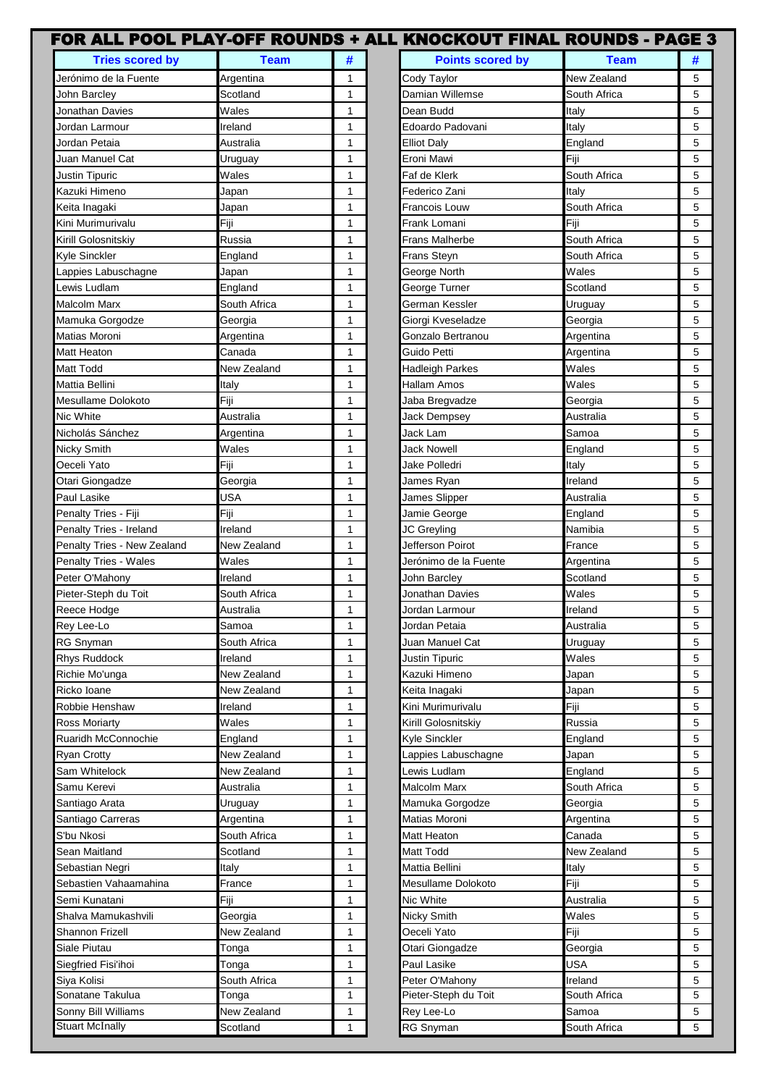|                              |              |              | FOR ALL POOL PLAY-OFF ROUNDS + ALL KNOCKOUT FINAL ROUNDS - PAGE 3 |              |   |
|------------------------------|--------------|--------------|-------------------------------------------------------------------|--------------|---|
| <b>Tries scored by</b>       | <b>Team</b>  | #            | <b>Points scored by</b>                                           | <b>Team</b>  | # |
| Jerónimo de la Fuente        | Argentina    | 1            | Cody Taylor                                                       | New Zealand  | 5 |
| John Barcley                 | Scotland     | $\mathbf{1}$ | Damian Willemse                                                   | South Africa | 5 |
| Jonathan Davies              | Wales        | $\mathbf{1}$ | Dean Budd                                                         | Italy        | 5 |
| Jordan Larmour               | Ireland      | $\mathbf{1}$ | Edoardo Padovani                                                  | Italy        | 5 |
| Jordan Petaia                | Australia    | 1            | <b>Elliot Daly</b>                                                | England      | 5 |
| Juan Manuel Cat              | Uruguay      | 1            | Eroni Mawi                                                        | Fiji         | 5 |
| Justin Tipuric               | Wales        | 1            | Faf de Klerk                                                      | South Africa | 5 |
| Kazuki Himeno                | Japan        | 1            | Federico Zani                                                     | Italy        | 5 |
| Keita Inagaki                | Japan        | 1            | Francois Louw                                                     | South Africa | 5 |
| Kini Murimurivalu            | Fiji         | $\mathbf{1}$ | Frank Lomani                                                      | Fiji         | 5 |
| Kirill Golosnitskiy          | Russia       | $\mathbf{1}$ | Frans Malherbe                                                    | South Africa | 5 |
| Kyle Sinckler                | England      | $\mathbf{1}$ | <b>Frans Steyn</b>                                                | South Africa | 5 |
| appies Labuschagne           | Japan        | $\mathbf{1}$ | George North                                                      | Wales        | 5 |
| ewis Ludlam                  | England      | $\mathbf{1}$ | George Turner                                                     | Scotland     | 5 |
| Malcolm Marx                 | South Africa | $\mathbf{1}$ | German Kessler                                                    | Uruguay      | 5 |
| Mamuka Gorgodze              | Georgia      | $\mathbf{1}$ | Giorgi Kveseladze                                                 | Georgia      | 5 |
| Matias Moroni                | Argentina    | 1            | Gonzalo Bertranou                                                 | Argentina    | 5 |
| Matt Heaton                  | Canada       | $\mathbf{1}$ | Guido Petti                                                       | Argentina    | 5 |
| Matt Todd                    | New Zealand  | 1            | Hadleigh Parkes                                                   | Wales        | 5 |
| Mattia Bellini               | Italy        | 1            | Hallam Amos                                                       | Wales        | 5 |
| Mesullame Dolokoto           | Fiji         | $\mathbf{1}$ | Jaba Bregvadze                                                    | Georgia      | 5 |
| Nic White                    | Australia    | $\mathbf{1}$ | <b>Jack Dempsey</b>                                               | Australia    | 5 |
|                              |              |              |                                                                   |              |   |
| Nicholás Sánchez             | Argentina    | $\mathbf{1}$ | Jack Lam                                                          | Samoa        | 5 |
| Nicky Smith                  | Wales        | $\mathbf{1}$ | Jack Nowell                                                       | England      | 5 |
| Oeceli Yato                  | Fiji         | 1            | Jake Polledri                                                     | Italy        | 5 |
| Otari Giongadze              | Georgia      | $\mathbf{1}$ | James Ryan                                                        | Ireland      | 5 |
| Paul Lasike                  | USA          | $\mathbf{1}$ | James Slipper                                                     | Australia    | 5 |
| Penalty Tries - Fiji         | Fiji         | $\mathbf{1}$ | Jamie George                                                      | England      | 5 |
| Penalty Tries - Ireland      | Ireland      | 1            | JC Greyling                                                       | Namibia      | 5 |
| Penalty Tries - New Zealand  | New Zealand  | 1            | Jefferson Poirot                                                  | France       | 5 |
| <b>Penalty Tries - Wales</b> | Wales        | 1            | Jerónimo de la Fuente                                             | Argentina    | 5 |
| Peter O'Mahony               | Ireland      | 1            | John Barcley                                                      | Scotland     | 5 |
| Pieter-Steph du Toit         | South Africa | 1            | Jonathan Davies                                                   | Wales        | 5 |
| Reece Hodge                  | Australia    | 1            | Jordan Larmour                                                    | Ireland      | 5 |
| Rey Lee-Lo                   | Samoa        | 1            | Jordan Petaia                                                     | Australia    | 5 |
| <b>RG Snyman</b>             | South Africa | 1            | Juan Manuel Cat                                                   | Uruguay      | 5 |
| <b>Rhys Ruddock</b>          | Ireland      | 1            | Justin Tipuric                                                    | Wales        | 5 |
| Richie Mo'unga               | New Zealand  | 1            | Kazuki Himeno                                                     | Japan        | 5 |
| Ricko Ioane                  | New Zealand  | $\mathbf{1}$ | Keita Inagaki                                                     | Japan        | 5 |
| Robbie Henshaw               | Ireland      | $\mathbf{1}$ | Kini Murimurivalu                                                 | Fiji         | 5 |
| Ross Moriarty                | Wales        | 1            | Kirill Golosnitskiy                                               | Russia       | 5 |
| Ruaridh McConnochie          | England      | 1            | Kyle Sinckler                                                     | England      | 5 |
| Ryan Crotty                  | New Zealand  | 1            | Lappies Labuschagne                                               | Japan        | 5 |
| Sam Whitelock                | New Zealand  | 1            | Lewis Ludlam                                                      | England      | 5 |
| Samu Kerevi                  | Australia    | $\mathbf{1}$ | Malcolm Marx                                                      | South Africa | 5 |
| Santiago Arata               | Uruguay      | $\mathbf{1}$ | Mamuka Gorgodze                                                   | Georgia      | 5 |
| Santiago Carreras            | Argentina    | 1            | Matias Moroni                                                     | Argentina    | 5 |
| S'bu Nkosi                   | South Africa | 1            | Matt Heaton                                                       | Canada       | 5 |
| Sean Maitland                | Scotland     | $\mathbf{1}$ | <b>Matt Todd</b>                                                  | New Zealand  | 5 |
| Sebastian Negri              | Italy        | 1            | Mattia Bellini                                                    | Italy        | 5 |
| Sebastien Vahaamahina        | France       | $\mathbf{1}$ | Mesullame Dolokoto                                                | Fiji         | 5 |
| Semi Kunatani                | Fiji         | $\mathbf{1}$ | Nic White                                                         | Australia    | 5 |
| Shalva Mamukashvili          | Georgia      | 1            | Nicky Smith                                                       | Wales        | 5 |
| Shannon Frizell              | New Zealand  | 1            | Oeceli Yato                                                       | Fiji         | 5 |
| Siale Piutau                 | Tonga        | 1            | Otari Giongadze                                                   | Georgia      | 5 |
| Siegfried Fisi'ihoi          | Tonga        | 1            | Paul Lasike                                                       | <b>USA</b>   | 5 |
| Siya Kolisi                  | South Africa | 1            | Peter O'Mahony                                                    | Ireland      | 5 |
| Sonatane Takulua             | Tonga        | 1            | Pieter-Steph du Toit                                              | South Africa | 5 |
| Sonny Bill Williams          | New Zealand  | $\mathbf{1}$ | Rey Lee-Lo                                                        | Samoa        | 5 |
| <b>Stuart McInally</b>       | Scotland     | $\mathbf{1}$ | RG Snyman                                                         | South Africa | 5 |
|                              |              |              |                                                                   |              |   |